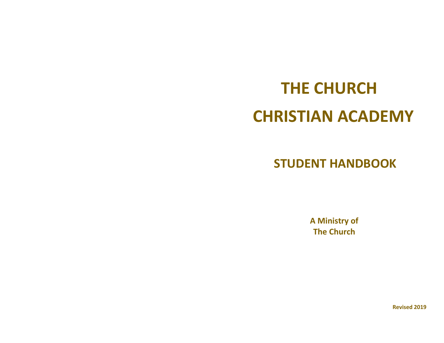# **THE CHURCH CHRISTIAN ACADEMY**

 **STUDENT HANDBOOK** 

 **A Ministry of The Church** 

**Revised 2019**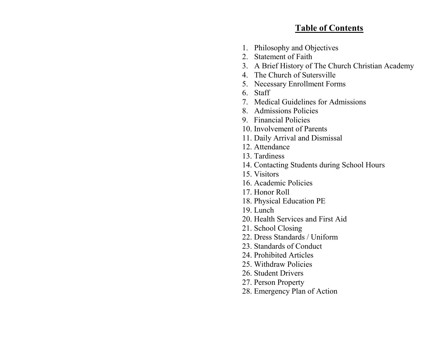## **Table of Contents**

- 1. Philosophy and Objectives
- 2. Statement of Faith
- 3. A Brief History of The Church Christian Academy
- 4. The Church of Sutersville
- 5. Necessary Enrollment Forms
- 6. Staff
- 7. Medical Guidelines for Admissions
- 8. Admissions Policies
- 9. Financial Policies
- 10. Involvement of Parents
- 11. Daily Arrival and Dismissal
- 12. Attendance
- 13. Tardiness
- 14. Contacting Students during School Hours
- 15. Visitors
- 16. Academic Policies
- 17. Honor Roll
- 18. Physical Education PE
- 19. Lunch
- 20. Health Services and First Aid
- 21. School Closing
- 22. Dress Standards / Uniform
- 23. Standards of Conduct
- 24. Prohibited Articles
- 25. Withdraw Policies
- 26. Student Drivers
- 27. Person Property
- 28. Emergency Plan of Action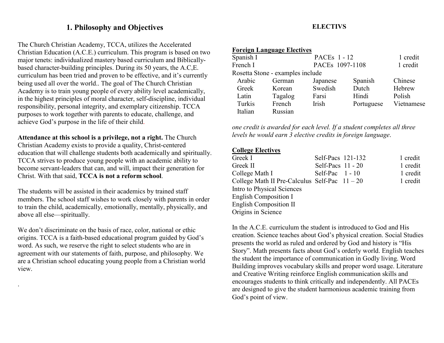## **1. Philosophy and Objectives**

The Church Christian Academy, TCCA, utilizes the Accelerated Christian Education (A.C.E.) curriculum. This program is based on two major tenets: individualized mastery based curriculum and Biblicallybased character-building principles. During its 50 years, the A.C,E. curriculum has been tried and proven to be effective, and it's currently being used all over the world.. The goal of The Church Christian Academy is to train young people of every ability level academically, in the highest principles of moral character, self-discipline, individual responsibility, personal integrity, and exemplary citizenship. TCCA purposes to work together with parents to educate, challenge, and achieve God's purpose in the life of their child.

**Attendance at this school is a privilege, not a right.** The Church Christian Academy exists to provide a quality, Christ-centered education that will challenge students both academically and spiritually. TCCA strives to produce young people with an academic ability to become servant-leaders that can, and will, impact their generation for Christ. With that said, **TCCA is not a reform school**.

The students will be assisted in their academics by trained staff members. The school staff wishes to work closely with parents in order to train the child, academically, emotionally, mentally, physically, and above all else—spiritually.

We don't discriminate on the basis of race, color, national or ethic origins. TCCA is a faith-based educational program guided by God's word. As such, we reserve the right to select students who are in agreement with our statements of faith, purpose, and philosophy. We are a Christian school educating young people from a Christian world view.

.

## **ELECTIVS**

|           | <b>Foreign Language Electives</b> |                     |                 |            |  |
|-----------|-----------------------------------|---------------------|-----------------|------------|--|
| Spanish I |                                   | <b>PACEs 1 - 12</b> |                 | 1 credit   |  |
| French I  |                                   |                     | PACEs 1097-1108 |            |  |
|           | Rosetta Stone - examples include  |                     |                 |            |  |
| Arabic    | German                            | Japanese            | Spanish         | Chinese    |  |
| Greek     | Korean                            | Swedish             | Dutch           | Hebrew     |  |
| Latin     | Tagalog                           | Farsi               | Hindi           | Polish     |  |
| Turkis    | French                            | Irish               | Portuguese      | Vietnamese |  |
| Italian   | Russian                           |                     |                 |            |  |
|           |                                   |                     |                 |            |  |

*one credit is awarded for each level. If a student completes all three levels he would earn 3 elective credits in foreign language*.

#### **College Electives**

| Greek I                                       | Self-Pacs 121-132   | 1 credit |
|-----------------------------------------------|---------------------|----------|
| Greek II                                      | Self-Pacs $11 - 20$ | 1 credit |
| College Math I                                | Self-Pac $1 - 10$   | 1 credit |
| College Math II Pre-Calculus Self-Pac $11-20$ |                     | 1 credit |
| Intro to Physical Sciences                    |                     |          |
| English Composition I                         |                     |          |
| English Composition II                        |                     |          |
| Origins in Science                            |                     |          |
|                                               |                     |          |

In the A.C.E. curriculum the student is introduced to God and His creation. Science teaches about God's physical creation. Social Studies presents the world as ruled and ordered by God and history is "His Story". Math presents facts about God's orderly world. English teaches the student the importance of communication in Godly living. Word Building improves vocabulary skills and proper word usage. Literature and Creative Writing reinforce English communication skills and encourages students to think critically and independently. All PACEs are designed to give the student harmonious academic training from God's point of view.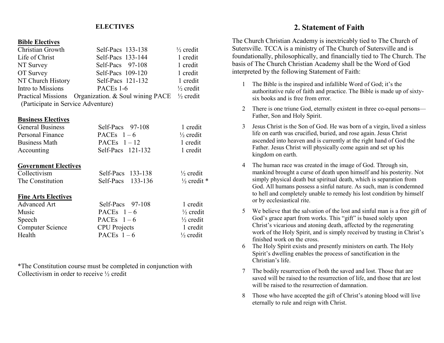#### **ELECTIVES**

#### **Bible Electives**

| Christian Growth                   | Self-Pacs 133-138                                              | $\frac{1}{2}$ credit |
|------------------------------------|----------------------------------------------------------------|----------------------|
| Life of Christ                     | Self-Pacs 133-144                                              | 1 credit             |
| NT Survey                          | Self-Pacs 97-108                                               | 1 credit             |
| OT Survey                          | Self-Pacs 109-120                                              | 1 credit             |
| NT Church History                  | Self-Pacs 121-132                                              | 1 credit             |
| Intro to Missions                  | PACEs 1-6                                                      | $\frac{1}{2}$ credit |
|                                    | Practical Missions Organization. & Soul wining PACE 1/2 credit |                      |
| (Participate in Service Adventure) |                                                                |                      |

#### **Business Electives**

| <b>General Business</b> | $Self-Pacs$ 97-108  | 1 credit             |
|-------------------------|---------------------|----------------------|
| Personal Finance        | PACEs $1-6$         | $\frac{1}{2}$ credit |
| <b>Business Math</b>    | PACEs $1-12$        | 1 credit             |
| Accounting              | Self-Pacs $121-132$ | 1 credit             |
|                         |                     |                      |

#### **Government Electives**

| Collectivism               | Self-Pacs 133-138   | $\frac{1}{2}$ credit   |
|----------------------------|---------------------|------------------------|
| The Constitution           | Self-Pacs 133-136   | $\frac{1}{2}$ credit * |
| <b>Fine Arts Electives</b> |                     |                        |
| <b>Advanced Art</b>        | Self-Pacs $97-108$  | 1 credit               |
| Music                      | PACEs $1-6$         | $\frac{1}{2}$ credit   |
| Speech                     | PACEs $1-6$         | $\frac{1}{2}$ credit   |
| <b>Computer Science</b>    | <b>CPU</b> Projects | 1 credit               |
| Health                     | PACEs $1-6$         | $\frac{1}{2}$ credit   |

\*The Constitution course must be completed in conjunction with Collectivism in order to receive ½ credit

#### **2. Statement of Faith**

The Church Christian Academy is inextricably tied to The Church of Sutersville. TCCA is a ministry of The Church of Sutersville and is foundationally, philosophically, and financially tied to The Church. The basis of The Church Christian Academy shall be the Word of God interpreted by the following Statement of Faith:

- 1 The Bible is the inspired and infallible Word of God; it's the authoritative rule of faith and practice. The Bible is made up of sixtysix books and is free from error.
- 2 There is one triune God, eternally existent in three co-equal persons—Father, Son and Holy Spirit.
- 3 Jesus Christ is the Son of God. He was born of a virgin, lived a sinless life on earth was crucified, buried, and rose again. Jesus Christ ascended into heaven and is currently at the right hand of God the Father. Jesus Christ will physically come again and set up his kingdom on earth.
- 4 The human race was created in the image of God. Through sin, mankind brought a curse of death upon himself and his posterity. Not simply physical death but spiritual death, which is separation from God. All humans possess a sinful nature. As such, man is condemned to hell and completely unable to remedy his lost condition by himself or by ecclesiastical rite.
- 5 We believe that the salvation of the lost and sinful man is a free gift of God's grace apart from works. This "gift" is based solely upon Christ's vicarious and atoning death, affected by the regenerating work of the Holy Spirit, and is simply received by trusting in Christ's finished work on the cross.
- 6 The Holy Spirit exists and presently ministers on earth. The Holy Spirit's dwelling enables the process of sanctification in the Christian's life.
- 7 The bodily resurrection of both the saved and lost. Those that are saved will be raised to the resurrection of life, and those that are lost will be raised to the resurrection of damnation.
- 8 Those who have accepted the gift of Christ's atoning blood will live eternally to rule and reign with Christ.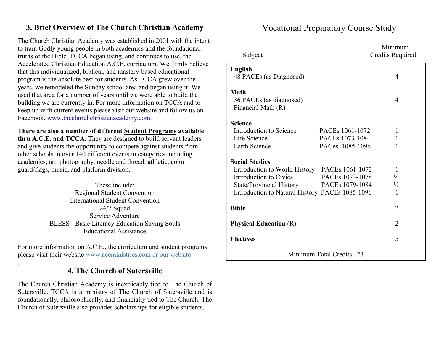## **3. Brief Overview of The Church Christian Academy**

The Church Christian Academy was established in 2001 with the intent to train Godly young people in both academics and the foundational truths of the Bible. TCCA began using, and continues to use, the Accelerated Christian Education A.C.E. curriculum. We firmly believe that this individualized, biblical, and mastery-based educational program is the absolute best for students. As TCCA grew over the years, we remodeled the Sunday school area and began using it. We used that area for a number of years until we were able to build the building we are currently in. For more information on TCCA and to keep up with current events please visit our website and follow us on Facebook. www.thechurchchristianacademy.com.

## **There are also a number of different Student Programs available**

**thru A.C.E. and TCCA.** They are designed to build servant leaders and give students the opportunity to compete against students from other schools in over 140 different events in categories including academics, art, photography, needle and thread, athletic, color guard/flags, music, and platform division.

> These include: Regional Student Convention International Student Convention 24/7 Squad Service Adventure BLESS - Basic Literacy Education Saving Souls Educational Assistance

For more information on A.C.E., the curriculum and student programs please visit their website www.aceministries.com or our website

.

## **4. The Church of Sutersville**

The Church Christian Academy is inextricably tied to The Church of Sutersville. TCCA is a ministry of The Church of Sutersville and is foundationally, philosophically, and financially tied to The Church. The Church of Sutersville also provides scholarships for eligible students.

## Vocational Preparatory Course Study

| Subject                                         |                             | Minimum<br><b>Credits Required</b> |
|-------------------------------------------------|-----------------------------|------------------------------------|
| <b>English</b>                                  |                             |                                    |
| 48 PACEs (as Diagnosed)                         |                             | 4                                  |
| <b>Math</b>                                     |                             |                                    |
| 36 PACEs (as diagnosed)                         |                             | $\overline{4}$                     |
| Financial Math (R)                              |                             |                                    |
| <b>Science</b>                                  |                             |                                    |
| Introduction to Science                         | PACE <sub>s</sub> 1061-1072 | 1                                  |
| Life Science                                    | PACEs 1073-1084             | $\mathbf{1}$                       |
| Earth Science                                   | PACes 1085-1096             | 1                                  |
| <b>Social Studies</b>                           |                             |                                    |
| Introduction to World History PACEs 1061-1072   |                             | 1                                  |
| Introduction to Civics                          | PACEs 1073-1078             | $\frac{1}{2}$                      |
| State/Provincial History PACEs 1079-1084        |                             | $\frac{1}{2}$                      |
| Introduction to Natural History PACEs 1085-1096 |                             | $\mathbf{1}$                       |
| <b>Bible</b>                                    |                             | $\overline{2}$                     |
| <b>Physical Education (R)</b>                   |                             | $\overline{2}$                     |
| <b>Electives</b>                                |                             | 5                                  |
|                                                 | Minimum Total Credits 23    |                                    |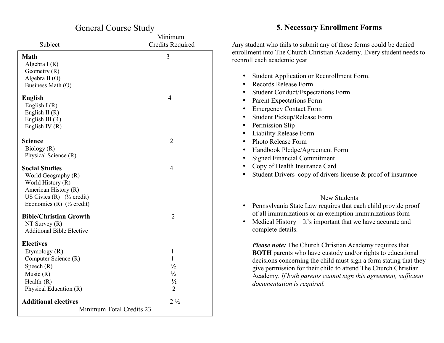| <b>General Course Study</b>                                                                                                                                                          |                         |  |  |  |
|--------------------------------------------------------------------------------------------------------------------------------------------------------------------------------------|-------------------------|--|--|--|
|                                                                                                                                                                                      | Minimum                 |  |  |  |
| Subject                                                                                                                                                                              | <b>Credits Required</b> |  |  |  |
| <b>Math</b>                                                                                                                                                                          | 3                       |  |  |  |
| Algebra I(R)                                                                                                                                                                         |                         |  |  |  |
| Geometry (R)                                                                                                                                                                         |                         |  |  |  |
| Algebra II (O)<br>Business Math (O)                                                                                                                                                  |                         |  |  |  |
|                                                                                                                                                                                      |                         |  |  |  |
| <b>English</b>                                                                                                                                                                       | $\overline{4}$          |  |  |  |
| English $I(R)$                                                                                                                                                                       |                         |  |  |  |
| English II $(R)$                                                                                                                                                                     |                         |  |  |  |
| English III $(R)$<br>English IV $(R)$                                                                                                                                                |                         |  |  |  |
|                                                                                                                                                                                      |                         |  |  |  |
| Science                                                                                                                                                                              | $\overline{2}$          |  |  |  |
| Biology (R)                                                                                                                                                                          |                         |  |  |  |
| Physical Science (R)                                                                                                                                                                 |                         |  |  |  |
| <b>Social Studies</b><br>World Geography (R)<br>World History (R)<br>American History (R)<br>US Civics $(R)$ ( $\frac{1}{2}$ credit)<br>Economics (R) $(\frac{1}{2} \text{ credit})$ | 4                       |  |  |  |
| <b>Bible/Christian Growth</b>                                                                                                                                                        | $\overline{2}$          |  |  |  |
| NT Survey $(R)$                                                                                                                                                                      |                         |  |  |  |
| <b>Additional Bible Elective</b>                                                                                                                                                     |                         |  |  |  |
| <b>Electives</b>                                                                                                                                                                     |                         |  |  |  |
| Etymology (R)                                                                                                                                                                        | $\mathbf{1}$            |  |  |  |
| Computer Science (R)                                                                                                                                                                 | 1                       |  |  |  |
| Speech $(R)$                                                                                                                                                                         | $\frac{1}{2}$           |  |  |  |
| Music $(R)$                                                                                                                                                                          | $\frac{1}{2}$           |  |  |  |
| Health $(R)$                                                                                                                                                                         | $\frac{1}{2}$           |  |  |  |
| Physical Education (R)                                                                                                                                                               | $\overline{2}$          |  |  |  |
| <b>Additional electives</b>                                                                                                                                                          | $2\frac{1}{2}$          |  |  |  |
| Minimum Total Credits 23                                                                                                                                                             |                         |  |  |  |

## **5. Necessary Enrollment Forms**

|           | Any student who fails to submit any of these forms could be denied<br>enrollment into The Church Christian Academy. Every student needs to<br>reenroll each academic year                                                                                                                                                                                                   |
|-----------|-----------------------------------------------------------------------------------------------------------------------------------------------------------------------------------------------------------------------------------------------------------------------------------------------------------------------------------------------------------------------------|
| $\bullet$ | Student Application or Reenrollment Form.                                                                                                                                                                                                                                                                                                                                   |
| $\bullet$ | Records Release Form                                                                                                                                                                                                                                                                                                                                                        |
| $\bullet$ | <b>Student Conduct/Expectations Form</b>                                                                                                                                                                                                                                                                                                                                    |
| $\bullet$ | <b>Parent Expectations Form</b>                                                                                                                                                                                                                                                                                                                                             |
| $\bullet$ | <b>Emergency Contact Form</b>                                                                                                                                                                                                                                                                                                                                               |
| $\bullet$ | Student Pickup/Release Form                                                                                                                                                                                                                                                                                                                                                 |
| $\bullet$ | Permission Slip                                                                                                                                                                                                                                                                                                                                                             |
| $\bullet$ | <b>Liability Release Form</b>                                                                                                                                                                                                                                                                                                                                               |
| $\bullet$ | Photo Release Form                                                                                                                                                                                                                                                                                                                                                          |
| $\bullet$ | Handbook Pledge/Agreement Form                                                                                                                                                                                                                                                                                                                                              |
| $\bullet$ | <b>Signed Financial Commitment</b>                                                                                                                                                                                                                                                                                                                                          |
| $\bullet$ | Copy of Health Insurance Card                                                                                                                                                                                                                                                                                                                                               |
| $\bullet$ | Student Drivers-copy of drivers license & proof of insurance                                                                                                                                                                                                                                                                                                                |
|           | New Students                                                                                                                                                                                                                                                                                                                                                                |
|           | Pennsylvania State Law requires that each child provide proof<br>of all immunizations or an exemption immunizations form                                                                                                                                                                                                                                                    |
| $\bullet$ | Medical History – It's important that we have accurate and<br>complete details.                                                                                                                                                                                                                                                                                             |
|           | <b>Please note:</b> The Church Christian Academy requires that<br><b>BOTH</b> parents who have custody and/or rights to educational<br>decisions concerning the child must sign a form stating that they<br>give permission for their child to attend The Church Christian<br>Academy. If both parents cannot sign this agreement, sufficient<br>documentation is required. |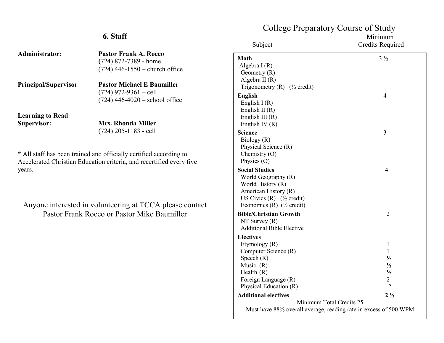## **6. Staff**

| Administrator:                         | <b>Pastor Frank A. Rocco</b><br>$(724)$ 872-7389 - home<br>$(724)$ 446-1550 – church office                                                |
|----------------------------------------|--------------------------------------------------------------------------------------------------------------------------------------------|
| <b>Principal/Supervisor</b>            | <b>Pastor Michael E Baumiller</b><br>$(724)$ 972-9361 – cell<br>$(724)$ 446-4020 – school office                                           |
| <b>Learning to Read</b><br>Supervisor: | Mrs. Rhonda Miller<br>$(724)$ 205-1183 - cell                                                                                              |
| years.                                 | * All staff has been trained and officially certified according to<br>Accelerated Christian Education criteria, and recertified every five |

Anyone interested in volunteering at TCCA please contact Pastor Frank Rocco or Pastor Mike Baumiller

## College Preparatory Course of Study

| Subject                                                          | Minimum<br><b>Credits Required</b> |
|------------------------------------------------------------------|------------------------------------|
| Math                                                             | $3\frac{1}{2}$                     |
| Algebra $I(R)$                                                   |                                    |
| Geometry $(R)$                                                   |                                    |
| Algebra II $(R)$                                                 |                                    |
| Trigonometry $(R)$ ( $\frac{1}{2}$ credit)                       |                                    |
| <b>English</b>                                                   | 4                                  |
| English $I(R)$                                                   |                                    |
| English II $(R)$                                                 |                                    |
| English III $(R)$                                                |                                    |
| English IV $(R)$                                                 |                                    |
| Science                                                          | 3                                  |
| Biology (R)                                                      |                                    |
| Physical Science (R)                                             |                                    |
| Chemistry $(O)$<br>Physics $(O)$                                 |                                    |
|                                                                  |                                    |
| <b>Social Studies</b>                                            | $\overline{4}$                     |
| World Geography (R)<br>World History (R)                         |                                    |
| American History (R)                                             |                                    |
| US Civics $(R)$ ( <sup>1</sup> / <sub>2</sub> credit)            |                                    |
| Economics (R) $(\frac{1}{2} \text{ credit})$                     |                                    |
| <b>Bible/Christian Growth</b>                                    | $\overline{2}$                     |
| NT Survey $(R)$                                                  |                                    |
| <b>Additional Bible Elective</b>                                 |                                    |
| <b>Electives</b>                                                 |                                    |
| Etymology (R)                                                    | $\mathbf{1}$                       |
| Computer Science (R)                                             | $\mathbf{1}$                       |
| Speech $(R)$                                                     | $\frac{1}{2}$                      |
| Music $(R)$                                                      | $\frac{1}{2}$                      |
| Health $(R)$                                                     | $\frac{1}{2}$                      |
| Foreign Language (R)                                             | $\overline{2}$                     |
| Physical Education (R)                                           | $\overline{2}$                     |
| <b>Additional electives</b>                                      | $2\frac{1}{2}$                     |
| Minimum Total Credits 25                                         |                                    |
| Must have 88% overall average, reading rate in excess of 500 WPM |                                    |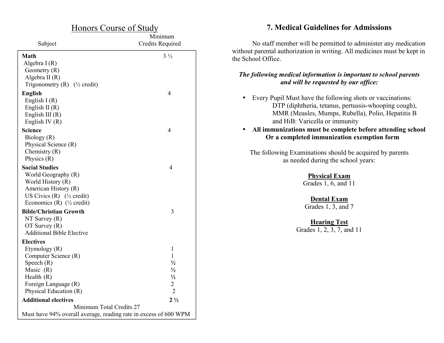| <u>Honors Course of Study</u>                                    |                                    |  |  |  |
|------------------------------------------------------------------|------------------------------------|--|--|--|
| Subject                                                          | Minimum<br><b>Credits Required</b> |  |  |  |
| Math                                                             | $3\frac{1}{2}$                     |  |  |  |
| Algebra $I(R)$                                                   |                                    |  |  |  |
| Geometry $(R)$                                                   |                                    |  |  |  |
| Algebra II (R)                                                   |                                    |  |  |  |
| Trigonometry (R) $(\frac{1}{2} \text{ credit})$                  |                                    |  |  |  |
| <b>English</b>                                                   | $\overline{4}$                     |  |  |  |
| English $I(R)$                                                   |                                    |  |  |  |
| English II $(R)$                                                 |                                    |  |  |  |
| English III $(R)$                                                |                                    |  |  |  |
| English IV $(R)$                                                 |                                    |  |  |  |
| <b>Science</b>                                                   | 4                                  |  |  |  |
| Biology (R)                                                      |                                    |  |  |  |
| Physical Science (R)                                             |                                    |  |  |  |
| Chemistry $(R)$                                                  |                                    |  |  |  |
| Physics $(R)$                                                    |                                    |  |  |  |
| <b>Social Studies</b>                                            | 4                                  |  |  |  |
| World Geography (R)                                              |                                    |  |  |  |
| World History (R)                                                |                                    |  |  |  |
| American History (R)                                             |                                    |  |  |  |
| US Civics $(R)$ ( $\frac{1}{2}$ credit)                          |                                    |  |  |  |
| Economics (R) $(\frac{1}{2} \text{ credit})$                     |                                    |  |  |  |
| <b>Bible/Christian Growth</b>                                    | 3                                  |  |  |  |
| $NT$ Survey $(R)$                                                |                                    |  |  |  |
| $OT$ Survey $(R)$                                                |                                    |  |  |  |
| <b>Additional Bible Elective</b>                                 |                                    |  |  |  |
| <b>Electives</b>                                                 |                                    |  |  |  |
| Etymology (R)                                                    | 1                                  |  |  |  |
| Computer Science (R)                                             | 1                                  |  |  |  |
| Speech $(R)$                                                     | $\frac{1}{2}$                      |  |  |  |
| Music $(R)$                                                      | $\frac{1}{2}$                      |  |  |  |
| Health $(R)$                                                     | $\frac{1}{2}$                      |  |  |  |
| Foreign Language (R)                                             | $\overline{c}$                     |  |  |  |
| Physical Education (R)                                           | $\overline{2}$                     |  |  |  |
| <b>Additional electives</b>                                      | $2\frac{1}{2}$                     |  |  |  |
| Minimum Total Credits 27                                         |                                    |  |  |  |
| Must have 94% overall average, reading rate in excess of 600 WPM |                                    |  |  |  |

#### **7. Medical Guidelines for Admissions**

No staff member will be permitted to administer any medication without parental authorization in writing. All medicines must be kept in the School Office.

#### *The following medical information is important to school parents and will be requested by our office:*

• Every Pupil Must have the following shots or vaccinations: DTP (diphtheria, tetanus, pertussis-whooping cough), MMR (Measles, Mumps, Rubella), Polio, Hepatitis B and HiB: Varicella or immunity

#### • **All immunizations must be complete before attending school Or a completed immunization exemption form**

The following Examinations should be acquired by parents as needed during the school years:

> **Physical Exam** Grades 1, 6, and 11

**Dental Exam** Grades 1, 3, and 7

**Hearing Test** Grades 1, 2, 3, 7, and 11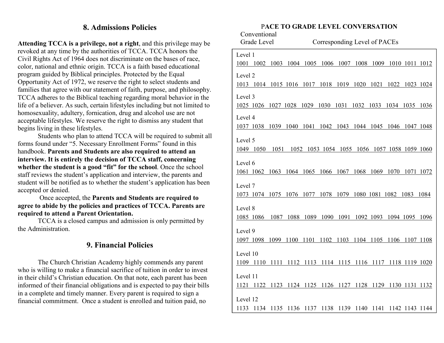## **8. Admissions Policies**

**Attending TCCA is a privilege, not a right**, and this privilege may be revoked at any time by the authorities of TCCA. TCCA honors the Civil Rights Act of 1964 does not discriminate on the bases of race, color, national and ethnic origin. TCCA is a faith based educational program guided by Biblical principles. Protected by the Equal Opportunity Act of 1972, we reserve the right to select students and families that agree with our statement of faith, purpose, and philosophy. TCCA adheres to the Biblical teaching regarding moral behavior in the life of a believer. As such, certain lifestyles including but not limited to homosexuality, adultery, fornication, drug and alcohol use are not acceptable lifestyles. We reserve the right to dismiss any student that begins living in these lifestyles.

 Students who plan to attend TCCA will be required to submit all forms found under "5. Necessary Enrollment Forms" found in this handbook. **Parents and Students are also required to attend an interview. It is entirely the decision of TCCA staff, concerning whether the student is a good "fit" for the school**. Once the school staff reviews the student's application and interview, the parents and student will be notified as to whether the student's application has been accepted or denied.

 Once accepted, the **Parents and Students are required to agree to abide by the policies and practices of TCCA. Parents are required to attend a Parent Orientation.** 

 TCCA is a closed campus and admission is only permitted by the Administration.

## **9. Financial Policies**

 The Church Christian Academy highly commends any parent who is willing to make a financial sacrifice of tuition in order to invest in their child's Christian education. On that note, each parent has been informed of their financial obligations and is expected to pay their bills in a complete and timely manner. Every parent is required to sign a financial commitment. Once a student is enrolled and tuition paid, no

#### P**ACE TO GRADE LEVEL CONVERSATION**

| Conventional<br><b>Grade Level</b>                          |  | Corresponding Level of PACEs |                                                   |  |  |  |
|-------------------------------------------------------------|--|------------------------------|---------------------------------------------------|--|--|--|
| Level 1                                                     |  |                              |                                                   |  |  |  |
| 1001 1002 1003 1004 1005 1006 1007 1008 1009 1010 1011 1012 |  |                              |                                                   |  |  |  |
| Level 2                                                     |  |                              |                                                   |  |  |  |
| 1013 1014 1015 1016 1017 1018 1019 1020 1021 1022 1023 1024 |  |                              |                                                   |  |  |  |
| Level 3                                                     |  |                              |                                                   |  |  |  |
| 1025 1026 1027 1028 1029 1030 1031 1032 1033 1034 1035 1036 |  |                              |                                                   |  |  |  |
| Level 4                                                     |  |                              |                                                   |  |  |  |
| 1037 1038 1039 1040 1041 1042 1043 1044 1045 1046 1047 1048 |  |                              |                                                   |  |  |  |
| Level 5                                                     |  |                              |                                                   |  |  |  |
| 1049 1050 1051 1052 1053 1054 1055 1056 1057 1058 1059 1060 |  |                              |                                                   |  |  |  |
| Level 6                                                     |  |                              |                                                   |  |  |  |
|                                                             |  |                              |                                                   |  |  |  |
| 1061 1062 1063 1064 1065 1066 1067 1068 1069 1070 1071 1072 |  |                              |                                                   |  |  |  |
| Level 7                                                     |  |                              |                                                   |  |  |  |
| 1073 1074 1075 1076 1077 1078 1079 1080 1081 1082 1083 1084 |  |                              |                                                   |  |  |  |
|                                                             |  |                              |                                                   |  |  |  |
| Level 8                                                     |  |                              |                                                   |  |  |  |
| 1085 1086                                                   |  |                              | 1087 1088 1089 1090 1091 1092 1093 1094 1095 1096 |  |  |  |
| Level 9                                                     |  |                              |                                                   |  |  |  |
| 1097 1098 1099 1100 1101 1102 1103 1104 1105 1106 1107 1108 |  |                              |                                                   |  |  |  |
|                                                             |  |                              |                                                   |  |  |  |
| Level 10                                                    |  |                              |                                                   |  |  |  |
| 1109 1110 1111 1112 1113 1114 1115 1116 1117 1118 1119 1020 |  |                              |                                                   |  |  |  |
| Level 11                                                    |  |                              |                                                   |  |  |  |
| 1121 1122 1123 1124 1125 1126 1127 1128 1129 1130 1131 1132 |  |                              |                                                   |  |  |  |
|                                                             |  |                              |                                                   |  |  |  |
| Level 12                                                    |  |                              |                                                   |  |  |  |
| 1133 1134 1135 1136 1137 1138 1139 1140 1141 1142 1143 1144 |  |                              |                                                   |  |  |  |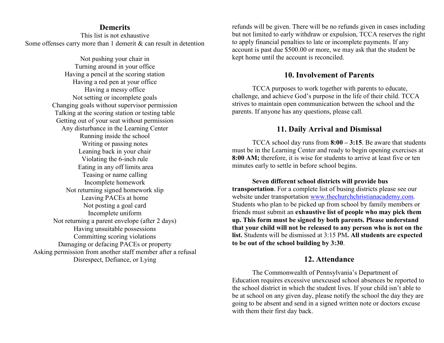#### **Demerits**

 This list is not exhaustive Some offenses carry more than 1 demerit & can result in detention

Not pushing your chair in Turning around in your office Having a pencil at the scoring station Having a red pen at your office Having a messy office Not setting or incomplete goals Changing goals without supervisor permission Talking at the scoring station or testing table Getting out of your seat without permission Any disturbance in the Learning Center Running inside the school Writing or passing notes Leaning back in your chair Violating the 6-inch rule Eating in any off limits area Teasing or name calling Incomplete homework Not returning signed homework slip Leaving PACEs at home Not posting a goal card Incomplete uniform Not returning a parent envelope (after 2 days) Having unsuitable possessions Committing scoring violations Damaging or defacing PACEs or property Asking permission from another staff member after a refusal Disrespect, Defiance, or Lying

refunds will be given. There will be no refunds given in cases including but not limited to early withdraw or expulsion, TCCA reserves the right to apply financial penalties to late or incomplete payments. If any account is past due \$500.00 or more, we may ask that the student be kept home until the account is reconciled.

#### **10. Involvement of Parents**

TCCA purposes to work together with parents to educate, challenge, and achieve God's purpose in the life of their child. TCCA strives to maintain open communication between the school and the parents. If anyone has any questions, please call.

#### **11. Daily Arrival and Dismissal**

 TCCA school day runs from **8:00 – 3:15**. Be aware that students must be in the Learning Center and ready to begin opening exercises at **8:00 AM;** therefore, it is wise for students to arrive at least five or ten minutes early to settle in before school begins.

**Seven different school districts will provide bus transportation**. For a complete list of busing districts please see our website under transportation www.thechurchchristianacademy.com. Students who plan to be picked up from school by family members or friends must submit an **exhaustive list of people who may pick them up. This form must be signed by both parents. Please understand that your child will not be released to any person who is not on the list.** Students will be dismissed at 3:15 PM**. All students are expected to be out of the school building by 3:30**.

## **12. Attendance**

The Commonwealth of Pennsylvania's Department of Education requires excessive unexcused school absences be reported to the school district in which the student lives. If your child isn't able to be at school on any given day, please notify the school the day they are going to be absent and send in a signed written note or doctors excuse with them their first day back.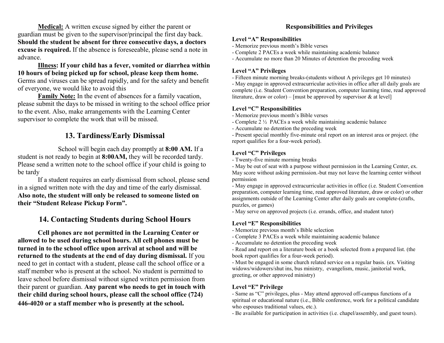**Medical:** A written excuse signed by either the parent or guardian must be given to the supervisor/principal the first day back. **Should the student be absent for three consecutive days, a doctors excuse is required.** If the absence is foreseeable, please send a note in advance.

#### **Illness: If your child has a fever, vomited or diarrhea within 10 hours of being picked up for school, please keep them home.**  Germs and viruses can be spread rapidly, and for the safety and benefit of everyone, we would like to avoid this

 **Family Note:** In the event of absences for a family vacation, please submit the days to be missed in writing to the school office prior to the event. Also, make arrangements with the Learning Center supervisor to complete the work that will be missed.

## **13. Tardiness/Early Dismissal**

 School will begin each day promptly at **8:00 AM.** If a student is not ready to begin at **8:00AM,** they will be recorded tardy. Please send a written note to the school office if your child is going to be tardy

 If a student requires an early dismissal from school, please send in a signed written note with the day and time of the early dismissal. **Also note, the student will only be released to someone listed on their "Student Release Pickup Form".**

## **14. Contacting Students during School Hours**

**Cell phones are not permitted in the Learning Center or allowed to be used during school hours. All cell phones must be turned in to the school office upon arrival at school and will be returned to the students at the end of day during dismissal.** If you need to get in contact with a student, please call the school office or a staff member who is present at the school. No student is permitted to leave school before dismissal without signed written permission from their parent or guardian. **Any parent who needs to get in touch with their child during school hours, please call the school office (724) 446-4020 or a staff member who is presently at the school.** 

#### **Responsibilities and Privileges**

#### **Level "A" Responsibilities**

- Memorize previous month's Bible verses
- Complete 2 PACEs a week while maintaining academic balance

- Accumulate no more than 20 Minutes of detention the preceding week

#### **Level "A" Privileges**

- Fifteen minute morning breaks-(students without A privileges get 10 minutes)

 - May engage in approved extracurricular activities in office after all daily goals are complete (i.e. Student Convention preparation, computer learning time, read approved literature, draw or color) – [must be approved by supervisor  $\&$  at level]

#### **Level "C" Responsibilities**

- Memorize previous month's Bible verses
- Complete 2 ½ PACEs a week while maintaining academic balance
- Accumulate no detention the preceding week

 - Present special monthly five-minute oral report on an interest area or project. (the report qualifies for a four-week period).

#### **Level "C" Privileges**

- Twenty-five minute morning breaks

 - May be out of seat with a purpose without permission in the Learning Center, ex. May score without asking permission.-but may not leave the learning center without permission

 - May engage in approved extracurricular activities in office (i.e. Student Convention preparation, computer learning time, read approved literature, draw or color) or other assignments outside of the Learning Center after daily goals are complete-(crafts, puzzles, or games)

- May serve on approved projects (i.e. errands, office, and student tutor)

#### **Level "E" Responsibilities**

- Memorize previous month's Bible selection
- Complete 3 PACEs a week while maintaining academic balance
- Accumulate no detention the preceding week

 - Read and report on a literature book or a book selected from a prepared list. (the book report qualifies for a four-week period).

 - Must be engaged in some church related service on a regular basis. (ex. Visiting widows/widowers/shut ins, bus ministry, evangelism, music, janitorial work, greeting, or other approved ministry)

#### **Level "E" Privilege**

 - Same as "C" privileges, plus - May attend approved off-campus functions of a spiritual or educational nature (i.e., Bible conference, work for a political candidate who espouses traditional values, etc.).

- Be available for participation in activities (i.e. chapel/assembly, and guest tours).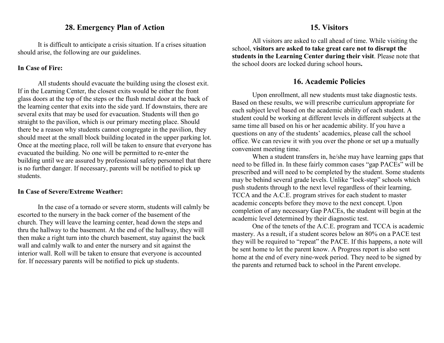#### **28. Emergency Plan of Action**

 It is difficult to anticipate a crisis situation. If a crises situation should arise, the following are our guidelines.

#### **In Case of Fire:**

All students should evacuate the building using the closest exit. If in the Learning Center, the closest exits would be either the front glass doors at the top of the steps or the flush metal door at the back of the learning center that exits into the side yard. If downstairs, there are several exits that may be used for evacuation. Students will then go straight to the pavilion, which is our primary meeting place. Should there be a reason why students cannot congregate in the pavilion, they should meet at the small block building located in the upper parking lot. Once at the meeting place, roll will be taken to ensure that everyone has evacuated the building. No one will be permitted to re-enter the building until we are assured by professional safety personnel that there is no further danger. If necessary, parents will be notified to pick up students.

#### **In Case of Severe/Extreme Weather:**

In the case of a tornado or severe storm, students will calmly be escorted to the nursery in the back corner of the basement of the church. They will leave the learning center, head down the steps and thru the hallway to the basement. At the end of the hallway, they will then make a right turn into the church basement, stay against the back wall and calmly walk to and enter the nursery and sit against the interior wall. Roll will be taken to ensure that everyone is accounted for. If necessary parents will be notified to pick up students.

 All visitors are asked to call ahead of time. While visiting the school, **visitors are asked to take great care not to disrupt the students in the Learning Center during their visit**. Please note that the school doors are locked during school hours**.** 

## **16. Academic Policies**

 Upon enrollment, all new students must take diagnostic tests. Based on these results, we will prescribe curriculum appropriate for each subject level based on the academic ability of each student. A student could be working at different levels in different subjects at the same time all based on his or her academic ability. If you have a questions on any of the students' academics, please call the school office. We can review it with you over the phone or set up a mutually convenient meeting time.

 When a student transfers in, he/she may have learning gaps that need to be filled in. In these fairly common cases "gap PACEs" will be prescribed and will need to be completed by the student. Some students may be behind several grade levels. Unlike "lock-step" schools which push students through to the next level regardless of their learning, TCCA and the A.C.E. program strives for each student to master academic concepts before they move to the next concept. Upon completion of any necessary Gap PACEs, the student will begin at the academic level determined by their diagnostic test.

 One of the tenets of the A.C.E. program and TCCA is academic mastery. As a result, if a student scores below an 80% on a PACE test they will be required to "repeat" the PACE. If this happens, a note will be sent home to let the parent know. A Progress report is also sent home at the end of every nine-week period. They need to be signed by the parents and returned back to school in the Parent envelope.

#### **15. Visitors**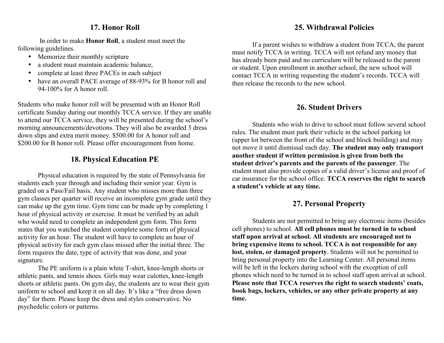## **17. Honor Roll**

 In order to make **Honor Roll**, a student must meet the following guidelines.

- •Memorize their monthly scripture
- •a student must maintain academic balance,
- •complete at least three PACEs in each subject
- • have an overall PACE average of 88-93% for B honor roll and 94-100% for A honor roll.

Students who make honor roll will be presented with an Honor Roll certificate Sunday during our monthly TCCA service. If they are unable to attend our TCCA service, they will be presented during the school's morning announcements/devotions. They will also be awarded 3 dress down slips and extra merit money. \$500.00 for A honor roll and \$200.00 for B honor roll. Please offer encouragement from home.

## **18. Physical Education PE**

Physical education is required by the state of Pennsylvania for students each year through and including their senior year. Gym is graded on a Pass/Fail basis. Any student who misses more than three gym classes per quarter will receive an incomplete gym grade until they can make up the gym time. Gym time can be made up by completing 1 hour of physical activity or exercise. It must be verified by an adult who would need to complete an independent gym form. This form states that you watched the student complete some form of physical activity for an hour. The student will have to complete an hour of physical activity for each gym class missed after the initial three. The form requires the date, type of activity that was done, and your signature.

 The PE uniform is a plain white T-shirt, knee-length shorts or athletic pants, and tennis shoes. Girls may wear culottes, knee-length shorts or athletic pants. On gym day, the students are to wear their gym uniform to school and keep it on all day. It's like a "free dress down day" for them. Please keep the dress and styles conservative. No psychedelic colors or patterns.

## **25. Withdrawal Policies**

If a parent wishes to withdraw a student from TCCA, the parent must notify TCCA in writing. TCCA will not refund any money that has already been paid and no curriculum will be released to the parent or student. Upon enrollment in another school, the new school will contact TCCA in writing requesting the student's records. TCCA will then release the records to the new school.

## **26. Student Drivers**

 Students who wish to drive to school must follow several school rules. The student must park their vehicle in the school parking lot (upper lot between the front of the school and block building) and may not move it until dismissal each day. **The student may only transport another student if written permission is given from both the student driver's parents and the parents of the passenger**. The student must also provide copies of a valid driver's license and proof of car insurance for the school office. **TCCA reserves the right to search a student's vehicle at any time.** 

## **27. Personal Property**

 Students are not permitted to bring any electronic items (besides cell phones) to school. **All cell phones must be turned in to school staff upon arrival at school. All students are encouraged not to bring expensive items to school. TCCA is not responsible for any lost, stolen, or damaged property**. Students will not be permitted to bring personal property into the Learning Center. All personal items will be left in the lockers during school with the exception of cell phones which need to be turned in to school staff upon arrival at school. **Please note that TCCA reserves the right to search students' coats, book bags, lockers, vehicles, or any other private property at any time.**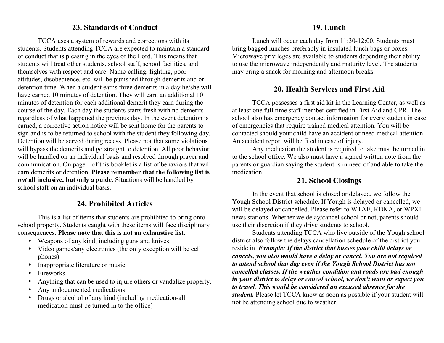## **23. Standards of Conduct**

 TCCA uses a system of rewards and corrections with its students. Students attending TCCA are expected to maintain a standard of conduct that is pleasing in the eyes of the Lord. This means that students will treat other students, school staff, school facilities, and themselves with respect and care. Name-calling, fighting, poor attitudes, disobedience, etc, will be punished through demerits and or detention time. When a student earns three demerits in a day he/she will have earned 10 minutes of detention. They will earn an additional 10 minutes of detention for each additional demerit they earn during the course of the day. Each day the students starts fresh with no demerits regardless of what happened the previous day. In the event detention is earned, a corrective action notice will be sent home for the parents to sign and is to be returned to school with the student they following day. Detention will be served during recess. Please not that some violations will bypass the demerits and go straight to detention. All poor behavior will be handled on an individual basis and resolved through prayer and communication. On page of this booklet is a list of behaviors that will earn demerits or detention. **Please remember that the following list is** *not* **all inclusive, but only a guide.** Situations will be handled by school staff on an individual basis.

## **24. Prohibited Articles**

 This is a list of items that students are prohibited to bring onto school property. Students caught with these items will face disciplinary consequences. **Please note that this is not an exhaustive list.** 

- Weapons of any kind; including guns and knives.
- Video games/any electronics (the only exception will be cell phones)
- •Inappropriate literature or music
- •Fireworks
- •Anything that can be used to injure others or vandalize property.
- •Any undocumented medications
- • Drugs or alcohol of any kind (including medication-all medication must be turned in to the office)

## **19. Lunch**

 Lunch will occur each day from 11:30-12:00. Students must bring bagged lunches preferably in insulated lunch bags or boxes. Microwave privileges are available to students depending their ability to use the microwave independently and maturity level. The students may bring a snack for morning and afternoon breaks.

## **20. Health Services and First Aid**

 TCCA possesses a first aid kit in the Learning Center, as well as at least one full time staff member certified in First Aid and CPR. The school also has emergency contact information for every student in case of emergencies that require trained medical attention. You will be contacted should your child have an accident or need medical attention. An accident report will be filed in case of injury.

 Any medication the student is required to take must be turned in to the school office. We also must have a signed written note from the parents or guardian saying the student is in need of and able to take the medication.

## **21. School Closings**

 In the event that school is closed or delayed, we follow the Yough School District schedule. If Yough is delayed or cancelled, we will be delayed or cancelled. Please refer to WTAE, KDKA, or WPXI news stations. Whether we delay/cancel school or not, parents should use their discretion if they drive students to school.

Students attending TCCA who live outside of the Yough school district also follow the delays cancellation schedule of the district you reside in. *Example: If the district that busses your child delays or cancels, you also would have a delay or cancel. You are not required to attend school that day even if the Yough School District has not cancelled classes. If the weather condition and roads are bad enough in your district to delay or cancel school, we don't want or expect you to travel. This would be considered an excused absence for the student.* Please let TCCA know as soon as possible if your student will not be attending school due to weather.